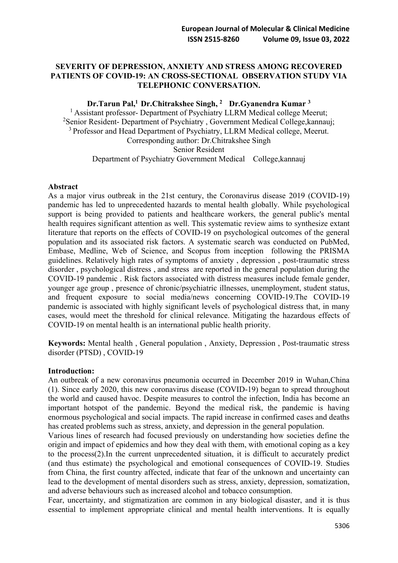## **SEVERITY OF DEPRESSION, ANXIETY AND STRESS AMONG RECOVERED PATIENTS OF COVID-19: AN CROSS-SECTIONAL OBSERVATION STUDY VIA TELEPHONIC CONVERSATION.**

### **Dr.Tarun Pal,1 Dr.Chitrakshee Singh, 2 Dr.Gyanendra Kumar 3**

<sup>1</sup> Assistant professor- Department of Psychiatry LLRM Medical college Meerut; <sup>2</sup>Senior Resident- Department of Psychiatry, Government Medical College, kannauj; <sup>3</sup> Professor and Head Department of Psychiatry, LLRM Medical college, Meerut. Corresponding author: Dr.Chitrakshee Singh Senior Resident Department of Psychiatry Government Medical College,kannauj

#### **Abstract**

As a major virus outbreak in the 21st century, the Coronavirus disease 2019 (COVID-19) pandemic has led to unprecedented hazards to mental health globally. While psychological support is being provided to patients and healthcare workers, the general public's mental health requires significant attention as well. This systematic review aims to synthesize extant literature that reports on the effects of COVID-19 on psychological outcomes of the general population and its associated risk factors. A systematic search was conducted on PubMed, Embase, Medline, Web of Science, and Scopus from inception following the PRISMA guidelines. Relatively high rates of symptoms of anxiety , depression , post-traumatic stress disorder , psychological distress , and stress are reported in the general population during the COVID-19 pandemic . Risk factors associated with distress measures include female gender, younger age group , presence of chronic/psychiatric illnesses, unemployment, student status, and frequent exposure to social media/news concerning COVID-19.The COVID-19 pandemic is associated with highly significant levels of psychological distress that, in many cases, would meet the threshold for clinical relevance. Mitigating the hazardous effects of COVID-19 on mental health is an international public health priority.

**Keywords:** Mental health , General population , Anxiety, Depression , Post-traumatic stress disorder (PTSD) , COVID-19

### **Introduction:**

An outbreak of a new coronavirus pneumonia occurred in December 2019 in Wuhan,China (1). Since early 2020, this new coronavirus disease (COVID-19) began to spread throughout the world and caused havoc. Despite measures to control the infection, India has become an important hotspot of the pandemic. Beyond the medical risk, the pandemic is having enormous psychological and social impacts. The rapid increase in confirmed cases and deaths has created problems such as stress, anxiety, and depression in the general population.

Various lines of research had focused previously on understanding how societies define the origin and impact of epidemics and how they deal with them, with emotional coping as a key to the process(2).In the current unprecedented situation, it is difficult to accurately predict (and thus estimate) the psychological and emotional consequences of COVID-19. Studies from China, the first country affected, indicate that fear of the unknown and uncertainty can lead to the development of mental disorders such as stress, anxiety, depression, somatization, and adverse behaviours such as increased alcohol and tobacco consumption.

Fear, uncertainty, and stigmatization are common in any biological disaster, and it is thus essential to implement appropriate clinical and mental health interventions. It is equally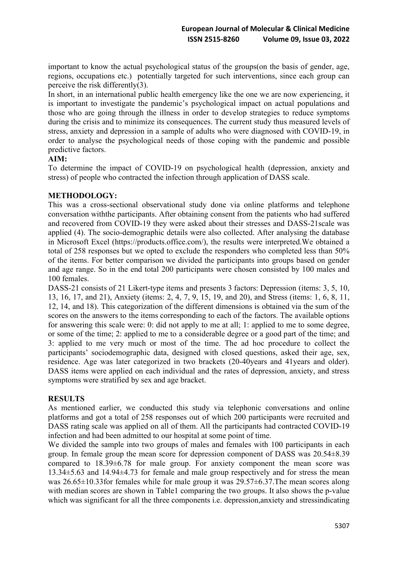important to know the actual psychological status of the groups(on the basis of gender, age, regions, occupations etc.) potentially targeted for such interventions, since each group can perceive the risk differently(3).

In short, in an international public health emergency like the one we are now experiencing, it is important to investigate the pandemic's psychological impact on actual populations and those who are going through the illness in order to develop strategies to reduce symptoms during the crisis and to minimize its consequences. The current study thus measured levels of stress, anxiety and depression in a sample of adults who were diagnosed with COVID-19, in order to analyse the psychological needs of those coping with the pandemic and possible predictive factors.

## **AIM:**

To determine the impact of COVID-19 on psychological health (depression, anxiety and stress) of people who contracted the infection through application of DASS scale.

## **METHODOLOGY:**

This was a cross-sectional observational study done via online platforms and telephone conversation withthe participants. After obtaining consent from the patients who had suffered and recovered from COVID-19 they were asked about their stresses and DASS-21scale was applied (4). The socio-demographic details were also collected. After analysing the database in Microsoft Excel (https://products.office.com/), the results were interpreted.We obtained a total of 258 responses but we opted to exclude the responders who completed less than 50% of the items. For better comparison we divided the participants into groups based on gender and age range. So in the end total 200 participants were chosen consisted by 100 males and 100 females.

DASS-21 consists of 21 Likert-type items and presents 3 factors: Depression (items: 3, 5, 10, 13, 16, 17, and 21), Anxiety (items: 2, 4, 7, 9, 15, 19, and 20), and Stress (items: 1, 6, 8, 11, 12, 14, and 18). This categorization of the different dimensions is obtained via the sum of the scores on the answers to the items corresponding to each of the factors. The available options for answering this scale were: 0: did not apply to me at all; 1: applied to me to some degree, or some of the time; 2: applied to me to a considerable degree or a good part of the time; and 3: applied to me very much or most of the time. The ad hoc procedure to collect the participants' sociodemographic data, designed with closed questions, asked their age, sex, residence. Age was later categorized in two brackets (20-40years and 41years and older). DASS items were applied on each individual and the rates of depression, anxiety, and stress symptoms were stratified by sex and age bracket.

# **RESULTS**

As mentioned earlier, we conducted this study via telephonic conversations and online platforms and got a total of 258 responses out of which 200 participants were recruited and DASS rating scale was applied on all of them. All the participants had contracted COVID-19 infection and had been admitted to our hospital at some point of time.

We divided the sample into two groups of males and females with 100 participants in each group. In female group the mean score for depression component of DASS was 20.54±8.39 compared to 18.39±6.78 for male group. For anxiety component the mean score was 13.34±5.63 and 14.94±4.73 for female and male group respectively and for stress the mean was 26.65±10.33for females while for male group it was 29.57±6.37.The mean scores along with median scores are shown in Table1 comparing the two groups. It also shows the p-value which was significant for all the three components i.e. depression, anxiety and stressindicating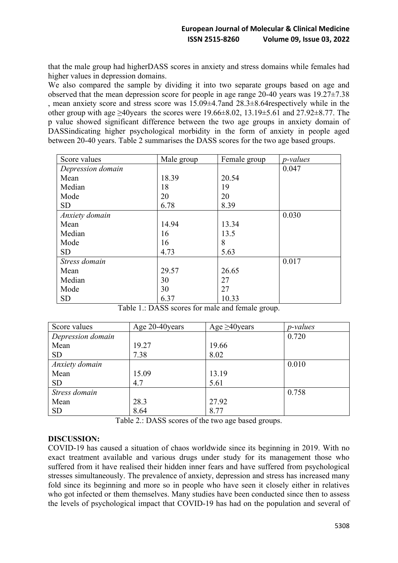that the male group had higherDASS scores in anxiety and stress domains while females had higher values in depression domains.

We also compared the sample by dividing it into two separate groups based on age and observed that the mean depression score for people in age range 20-40 years was 19.27±7.38 , mean anxiety score and stress score was 15.09±4.7and 28.3±8.64respectively while in the other group with age  $\geq 40$ years the scores were 19.66 $\pm 8.02$ , 13.19 $\pm 5.61$  and 27.92 $\pm 8.77$ . The p value showed significant difference between the two age groups in anxiety domain of DASSindicating higher psychological morbidity in the form of anxiety in people aged between 20-40 years. Table 2 summarises the DASS scores for the two age based groups.

| Score values      | Male group | Female group | <i>p</i> -values |
|-------------------|------------|--------------|------------------|
| Depression domain |            |              | 0.047            |
| Mean              | 18.39      | 20.54        |                  |
| Median            | 18         | 19           |                  |
| Mode              | 20         | 20           |                  |
| <b>SD</b>         | 6.78       | 8.39         |                  |
| Anxiety domain    |            |              | 0.030            |
| Mean              | 14.94      | 13.34        |                  |
| Median            | 16         | 13.5         |                  |
| Mode              | 16         | 8            |                  |
| <b>SD</b>         | 4.73       | 5.63         |                  |
| Stress domain     |            |              | 0.017            |
| Mean              | 29.57      | 26.65        |                  |
| Median            | 30         | 27           |                  |
| Mode              | 30         | 27           |                  |
| <b>SD</b>         | 6.37       | 10.33        |                  |

| Score values      | Age 20-40 years | Age $\geq 40$ years | <i>p</i> -values |
|-------------------|-----------------|---------------------|------------------|
| Depression domain |                 |                     | 0.720            |
| Mean              | 19.27           | 19.66               |                  |
| <b>SD</b>         | 7.38            | 8.02                |                  |
| Anxiety domain    |                 |                     | 0.010            |
| Mean              | 15.09           | 13.19               |                  |
| <b>SD</b>         | 4.7             | 5.61                |                  |
| Stress domain     |                 |                     | 0.758            |
| Mean              | 28.3            | 27.92               |                  |
| <b>SD</b>         | 8.64            | 8.77                |                  |

Table 1.: DASS scores for male and female group.

Table 2.: DASS scores of the two age based groups.

### **DISCUSSION:**

COVID-19 has caused a situation of chaos worldwide since its beginning in 2019. With no exact treatment available and various drugs under study for its management those who suffered from it have realised their hidden inner fears and have suffered from psychological stresses simultaneously. The prevalence of anxiety, depression and stress has increased many fold since its beginning and more so in people who have seen it closely either in relatives who got infected or them themselves. Many studies have been conducted since then to assess the levels of psychological impact that COVID-19 has had on the population and several of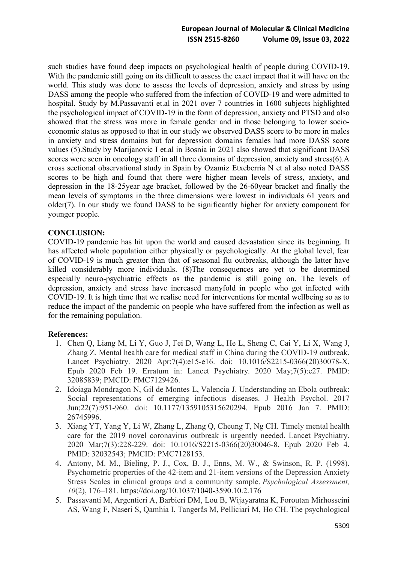# **European Journal of Molecular & Clinical Medicine ISSN 2515-8260 Volume 09, Issue 03, 2022**

such studies have found deep impacts on psychological health of people during COVID-19. With the pandemic still going on its difficult to assess the exact impact that it will have on the world. This study was done to assess the levels of depression, anxiety and stress by using DASS among the people who suffered from the infection of COVID-19 and were admitted to hospital. Study by M.Passavanti et.al in 2021 over 7 countries in 1600 subjects highlighted the psychological impact of COVID-19 in the form of depression, anxiety and PTSD and also showed that the stress was more in female gender and in those belonging to lower socioeconomic status as opposed to that in our study we observed DASS score to be more in males in anxiety and stress domains but for depression domains females had more DASS score values (5).Study by Marijanovic I et.al in Bosnia in 2021 also showed that significant DASS scores were seen in oncology staff in all three domains of depression, anxiety and stress(6).A cross sectional observational study in Spain by Ozamiz Etxeberria N et al also noted DASS scores to be high and found that there were higher mean levels of stress, anxiety, and depression in the 18-25year age bracket, followed by the 26-60year bracket and finally the mean levels of symptoms in the three dimensions were lowest in individuals 61 years and older(7). In our study we found DASS to be significantly higher for anxiety component for younger people.

# **CONCLUSION:**

COVID-19 pandemic has hit upon the world and caused devastation since its beginning. It has affected whole population either physically or psychologically. At the global level, fear of COVID-19 is much greater than that of seasonal flu outbreaks, although the latter have killed considerably more individuals. (8)The consequences are yet to be determined especially neuro-psychiatric effects as the pandemic is still going on. The levels of depression, anxiety and stress have increased manyfold in people who got infected with COVID-19. It is high time that we realise need for interventions for mental wellbeing so as to reduce the impact of the pandemic on people who have suffered from the infection as well as for the remaining population.

### **References:**

- 1. Chen Q, Liang M, Li Y, Guo J, Fei D, Wang L, He L, Sheng C, Cai Y, Li X, Wang J, Zhang Z. Mental health care for medical staff in China during the COVID-19 outbreak. Lancet Psychiatry. 2020 Apr;7(4):e15-e16. doi: 10.1016/S2215-0366(20)30078-X. Epub 2020 Feb 19. Erratum in: Lancet Psychiatry. 2020 May;7(5):e27. PMID: 32085839; PMCID: PMC7129426.
- 2. Idoiaga Mondragon N, Gil de Montes L, Valencia J. Understanding an Ebola outbreak: Social representations of emerging infectious diseases. J Health Psychol. 2017 Jun;22(7):951-960. doi: 10.1177/1359105315620294. Epub 2016 Jan 7. PMID: 26745996.
- 3. Xiang YT, Yang Y, Li W, Zhang L, Zhang Q, Cheung T, Ng CH. Timely mental health care for the 2019 novel coronavirus outbreak is urgently needed. Lancet Psychiatry. 2020 Mar;7(3):228-229. doi: 10.1016/S2215-0366(20)30046-8. Epub 2020 Feb 4. PMID: 32032543; PMCID: PMC7128153.
- 4. Antony, M. M., Bieling, P. J., Cox, B. J., Enns, M. W., & Swinson, R. P. (1998). Psychometric properties of the 42-item and 21-item versions of the Depression Anxiety Stress Scales in clinical groups and a community sample. *Psychological Assessment, 10*(2), 176–181. [https://doi.org/10.1037/1040-3590.10.2.176](https://psycnet.apa.org/doi/10.1037/1040-3590.10.2.176)
- 5. Passavanti M, Argentieri A, Barbieri DM, Lou B, Wijayaratna K, Foroutan Mirhosseini AS, Wang F, Naseri S, Qamhia I, Tangerås M, Pelliciari M, Ho CH. The psychological